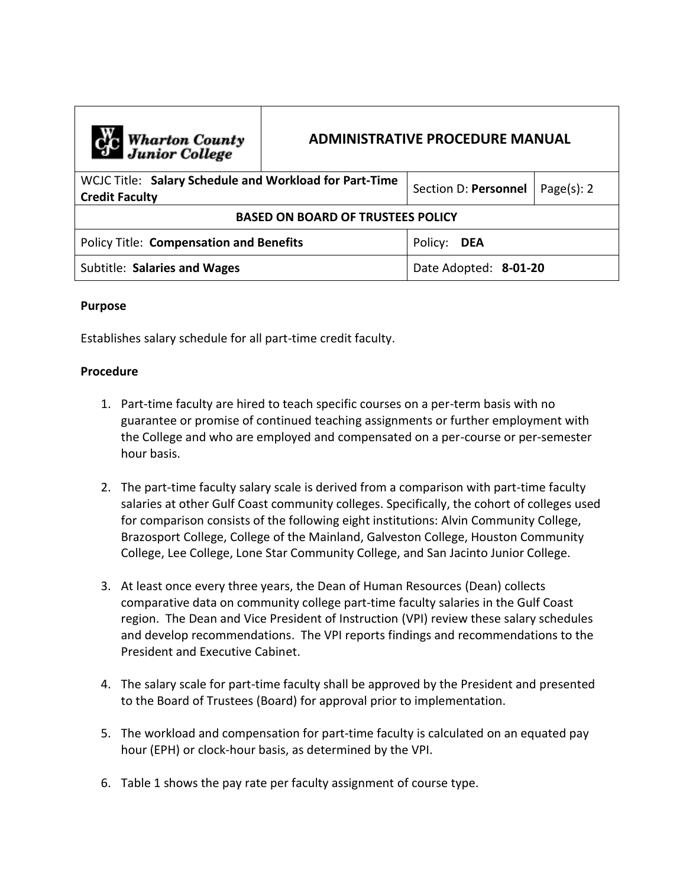| C <sub>1</sub> C Wharton County<br>Junior College                               | <b>ADMINISTRATIVE PROCEDURE MANUAL</b> |                       |                |  |
|---------------------------------------------------------------------------------|----------------------------------------|-----------------------|----------------|--|
| WCJC Title: Salary Schedule and Workload for Part-Time<br><b>Credit Faculty</b> |                                        | Section D: Personnel  | Page $(s)$ : 2 |  |
| <b>BASED ON BOARD OF TRUSTEES POLICY</b>                                        |                                        |                       |                |  |
| <b>Policy Title: Compensation and Benefits</b>                                  |                                        | Policy:<br><b>DEA</b> |                |  |
| Subtitle: Salaries and Wages                                                    |                                        | Date Adopted: 8-01-20 |                |  |

## **Purpose**

Establishes salary schedule for all part-time credit faculty.

## **Procedure**

- 1. Part-time faculty are hired to teach specific courses on a per-term basis with no guarantee or promise of continued teaching assignments or further employment with the College and who are employed and compensated on a per-course or per-semester hour basis.
- 2. The part-time faculty salary scale is derived from a comparison with part-time faculty salaries at other Gulf Coast community colleges. Specifically, the cohort of colleges used for comparison consists of the following eight institutions: Alvin Community College, Brazosport College, College of the Mainland, Galveston College, Houston Community College, Lee College, Lone Star Community College, and San Jacinto Junior College.
- 3. At least once every three years, the Dean of Human Resources (Dean) collects comparative data on community college part-time faculty salaries in the Gulf Coast region. The Dean and Vice President of Instruction (VPI) review these salary schedules and develop recommendations. The VPI reports findings and recommendations to the President and Executive Cabinet.
- 4. The salary scale for part-time faculty shall be approved by the President and presented to the Board of Trustees (Board) for approval prior to implementation.
- 5. The workload and compensation for part-time faculty is calculated on an equated pay hour (EPH) or clock-hour basis, as determined by the VPI.
- 6. Table 1 shows the pay rate per faculty assignment of course type.